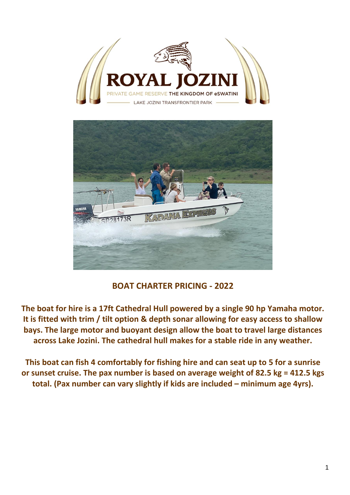



# **BOAT CHARTER PRICING - 2022**

**The boat for hire is a 17ft Cathedral Hull powered by a single 90 hp Yamaha motor. It is fitted with trim / tilt option & depth sonar allowing for easy access to shallow bays. The large motor and buoyant design allow the boat to travel large distances across Lake Jozini. The cathedral hull makes for a stable ride in any weather.**

**This boat can fish 4 comfortably for fishing hire and can seat up to 5 for a sunrise or sunset cruise. The pax number is based on average weight of 82.5 kg = 412.5 kgs total. (Pax number can vary slightly if kids are included – minimum age 4yrs).**